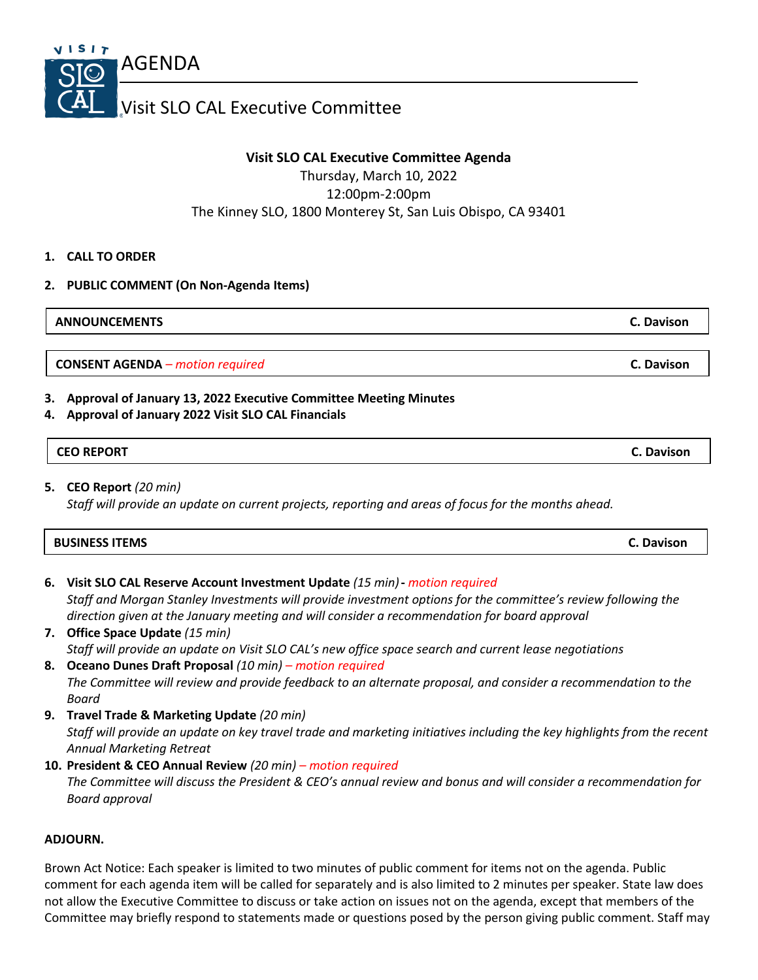

# **Visit SLO CAL Executive Committee Agenda**

Thursday, March 10, 2022 12:00pm-2:00pm The Kinney SLO, 1800 Monterey St, San Luis Obispo, CA 93401

## **1. CALL TO ORDER**

## **2. PUBLIC COMMENT (On Non-Agenda Items)**

**ANNOUNCEMENTS C. Davison**

**CONSENT AGENDA** *– motion required* **C. Davison**

## **3. Approval of January 13, 2022 Executive Committee Meeting Minutes**

#### **4. Approval of January 2022 Visit SLO CAL Financials**

#### **CEO REPORT C. Davison**

**5. CEO Report** *(20 min) Staff will provide an update on current projects, reporting and areas of focus for the months ahead.*

| <b>BUSINESS ITEMS</b> | Davison |
|-----------------------|---------|
|-----------------------|---------|

- **6. Visit SLO CAL Reserve Account Investment Update** *(15 min)***-** *motion required Staff and Morgan Stanley Investments will provide investment options for the committee's review following the direction given at the January meeting and will consider a recommendation for board approval*
- **7. Office Space Update** *(15 min) Staff will provide an update on Visit SLO CAL's new office space search and current lease negotiations*  **8. Oceano Dunes Draft Proposal** *(10 min) – motion required*
- *The Committee will review and provide feedback to an alternate proposal, and consider a recommendation to the Board*
- **9. Travel Trade & Marketing Update** *(20 min) Staff will provide an update on key travel trade and marketing initiatives including the key highlights from the recent Annual Marketing Retreat*
- **10. President & CEO Annual Review** *(20 min) – motion required The Committee will discuss the President & CEO's annual review and bonus and will consider a recommendation for Board approval*

## **ADJOURN.**

Brown Act Notice: Each speaker is limited to two minutes of public comment for items not on the agenda. Public comment for each agenda item will be called for separately and is also limited to 2 minutes per speaker. State law does not allow the Executive Committee to discuss or take action on issues not on the agenda, except that members of the Committee may briefly respond to statements made or questions posed by the person giving public comment. Staff may